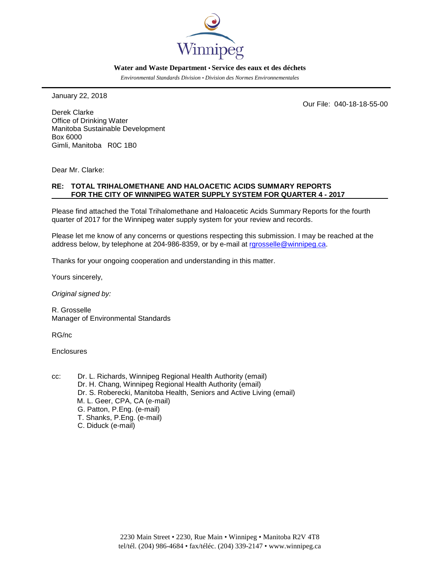

#### **Water and Waste Department • Service des eaux et des déchets**

*Environmental Standards Division • Division des Normes Environnementales*

January 22, 2018

Our File: 040-18-18-55-00

Derek Clarke Office of Drinking Water Manitoba Sustainable Development Box 6000 Gimli, Manitoba R0C 1B0

Dear Mr. Clarke:

### **RE: TOTAL TRIHALOMETHANE AND HALOACETIC ACIDS SUMMARY REPORTS FOR THE CITY OF WINNIPEG WATER SUPPLY SYSTEM FOR QUARTER 4 - 2017**

Please find attached the Total Trihalomethane and Haloacetic Acids Summary Reports for the fourth quarter of 2017 for the Winnipeg water supply system for your review and records.

Please let me know of any concerns or questions respecting this submission. I may be reached at the address below, by telephone at 204-986-8359, or by e-mail at rarosselle@winnipeg.ca.

Thanks for your ongoing cooperation and understanding in this matter.

Yours sincerely,

*Original signed by:*

R. Grosselle Manager of Environmental Standards

RG/nc

**Enclosures** 

cc: Dr. L. Richards, Winnipeg Regional Health Authority (email) Dr. H. Chang, Winnipeg Regional Health Authority (email) Dr. S. Roberecki, Manitoba Health, Seniors and Active Living (email) M. L. Geer, CPA, CA (e-mail) G. Patton, P.Eng. (e-mail) T. Shanks, P.Eng. (e-mail) C. Diduck (e-mail)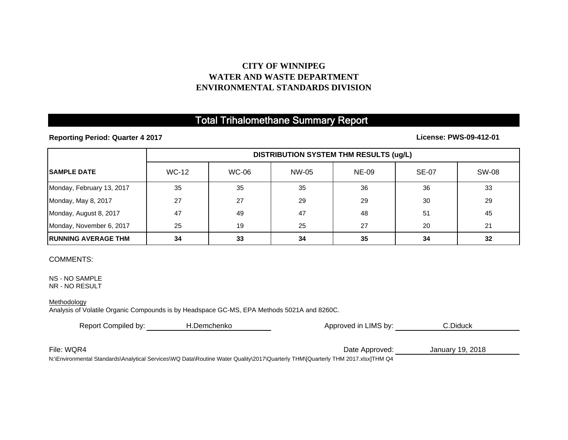# **CITY OF WINNIPEG WATER AND WASTE DEPARTMENTENVIRONMENTAL STANDARDS DIVISION**

# Total Trihalomethane Summary Report

**Reporting Period: Quarter 4 2017**

**License: PWS-09-412-01**

|                             | DISTRIBUTION SYSTEM THM RESULTS (ug/L) |              |       |              |              |       |
|-----------------------------|----------------------------------------|--------------|-------|--------------|--------------|-------|
| <b>SAMPLE DATE</b>          | <b>WC-12</b>                           | <b>WC-06</b> | NW-05 | <b>NE-09</b> | <b>SE-07</b> | SW-08 |
| Monday, February 13, 2017   | 35                                     | 35           | 35    | 36           | 36           | 33    |
| Monday, May 8, 2017         | 27                                     | 27           | 29    | 29           | 30           | 29    |
| Monday, August 8, 2017      | 47                                     | 49           | 47    | 48           | 51           | 45    |
| Monday, November 6, 2017    | 25                                     | 19           | 25    | 27           | 20           | 21    |
| <b>IRUNNING AVERAGE THM</b> | 34                                     | 33           | 34    | 35           | 34           | 32    |

### COMMENTS:

NS - NO SAMPLE NR - NO RESULT

#### **Methodology**

Analysis of Volatile Organic Compounds is by Headspace GC-MS, EPA Methods 5021A and 8260C.

| Report Compiled by:<br>H.Demchenko |                               | Approved in LIMS by: | C.Diduck         |  |
|------------------------------------|-------------------------------|----------------------|------------------|--|
|                                    |                               |                      |                  |  |
| File: WQR4                         |                               | Date Approved:       | January 19, 2018 |  |
|                                    | $\mathbf{u} \cdot \mathbf{v}$ | $-11111222$          |                  |  |

N:\Environmental Standards\Analytical Services\WQ Data\Routine Water Quality\2017\Quarterly THM\[Quarterly THM 2017.xlsx]THM Q4